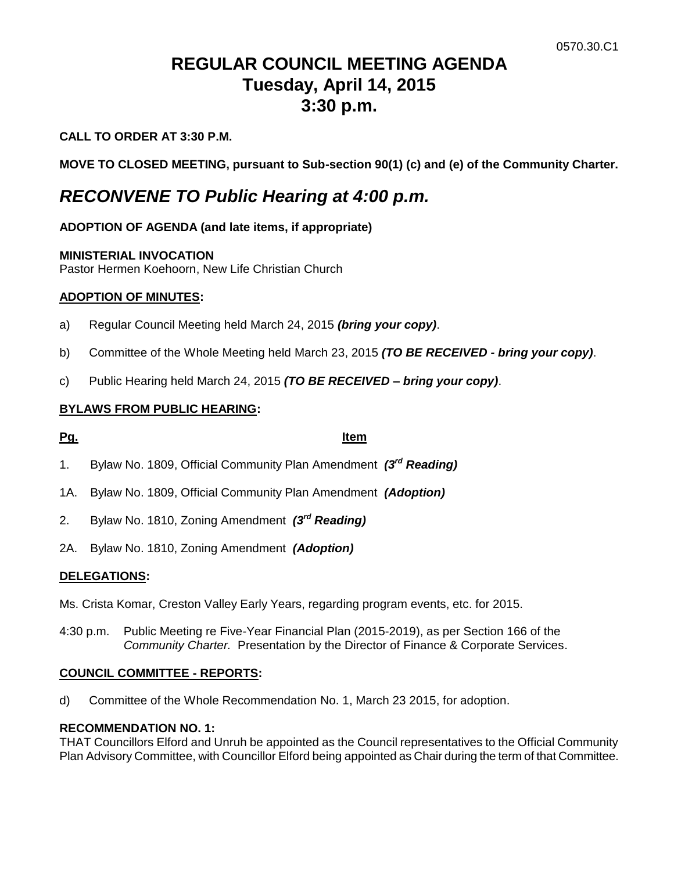# **REGULAR COUNCIL MEETING AGENDA Tuesday, April 14, 2015 3:30 p.m.**

# **CALL TO ORDER AT 3:30 P.M.**

**MOVE TO CLOSED MEETING, pursuant to Sub-section 90(1) (c) and (e) of the Community Charter.**

# *RECONVENE TO Public Hearing at 4:00 p.m.*

# **ADOPTION OF AGENDA (and late items, if appropriate)**

### **MINISTERIAL INVOCATION**

Pastor Hermen Koehoorn, New Life Christian Church

# **ADOPTION OF MINUTES:**

- a) Regular Council Meeting held March 24, 2015 *(bring your copy)*.
- b) Committee of the Whole Meeting held March 23, 2015 *(TO BE RECEIVED - bring your copy)*.
- c) Public Hearing held March 24, 2015 *(TO BE RECEIVED – bring your copy)*.

# **BYLAWS FROM PUBLIC HEARING:**

# **Pg. Item**

- 1. Bylaw No. 1809, Official Community Plan Amendment *(3rd Reading)*
- 1A. Bylaw No. 1809, Official Community Plan Amendment *(Adoption)*
- 2. Bylaw No. 1810, Zoning Amendment *(3rd Reading)*
- 2A. Bylaw No. 1810, Zoning Amendment *(Adoption)*

# **DELEGATIONS:**

Ms. Crista Komar, Creston Valley Early Years, regarding program events, etc. for 2015.

4:30 p.m. Public Meeting re Five-Year Financial Plan (2015-2019), as per Section 166 of the *Community Charter.* Presentation by the Director of Finance & Corporate Services.

### **COUNCIL COMMITTEE - REPORTS:**

d) Committee of the Whole Recommendation No. 1, March 23 2015, for adoption.

### **RECOMMENDATION NO. 1:**

THAT Councillors Elford and Unruh be appointed as the Council representatives to the Official Community Plan Advisory Committee, with Councillor Elford being appointed as Chair during the term of that Committee.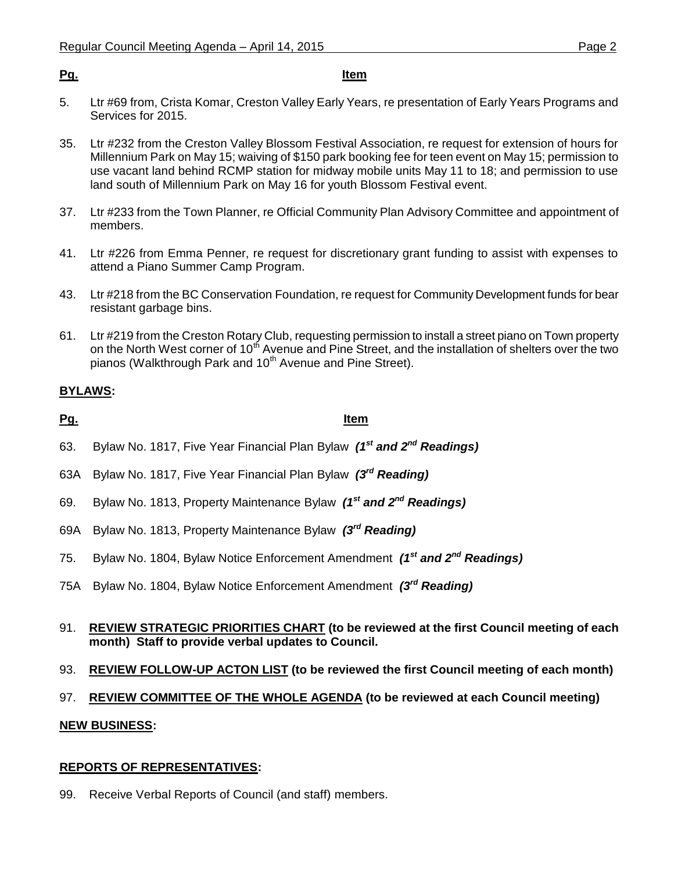### **Pg. Item**

- 5. Ltr #69 from, Crista Komar, Creston Valley Early Years, re presentation of Early Years Programs and Services for 2015.
- 35. Ltr #232 from the Creston Valley Blossom Festival Association, re request for extension of hours for Millennium Park on May 15; waiving of \$150 park booking fee for teen event on May 15; permission to use vacant land behind RCMP station for midway mobile units May 11 to 18; and permission to use land south of Millennium Park on May 16 for youth Blossom Festival event.
- 37. Ltr #233 from the Town Planner, re Official Community Plan Advisory Committee and appointment of members.
- 41. Ltr #226 from Emma Penner, re request for discretionary grant funding to assist with expenses to attend a Piano Summer Camp Program.
- 43. Ltr #218 from the BC Conservation Foundation, re request for Community Development funds for bear resistant garbage bins.
- 61. Ltr #219 from the Creston Rotary Club, requesting permission to install a street piano on Town property on the North West corner of 10<sup>th</sup> Avenue and Pine Street, and the installation of shelters over the two pianos (Walkthrough Park and 10<sup>th</sup> Avenue and Pine Street).

# **BYLAWS:**

**Pg. Item**

- 63. Bylaw No. 1817, Five Year Financial Plan Bylaw *(1st and 2nd Readings)*
- 63A Bylaw No. 1817, Five Year Financial Plan Bylaw *(3rd Reading)*
- 69. Bylaw No. 1813, Property Maintenance Bylaw *(1 st and 2nd Readings)*
- 69A Bylaw No. 1813, Property Maintenance Bylaw *(3rd Reading)*
- 75. Bylaw No. 1804, Bylaw Notice Enforcement Amendment *(1 st and 2nd Readings)*
- 75A Bylaw No. 1804, Bylaw Notice Enforcement Amendment *(3rd Reading)*
- 91. **REVIEW STRATEGIC PRIORITIES CHART (to be reviewed at the first Council meeting of each month) Staff to provide verbal updates to Council.**
- 93. **REVIEW FOLLOW-UP ACTON LIST (to be reviewed the first Council meeting of each month)**

# 97. **REVIEW COMMITTEE OF THE WHOLE AGENDA (to be reviewed at each Council meeting)**

# **NEW BUSINESS:**

# **REPORTS OF REPRESENTATIVES:**

99. Receive Verbal Reports of Council (and staff) members.